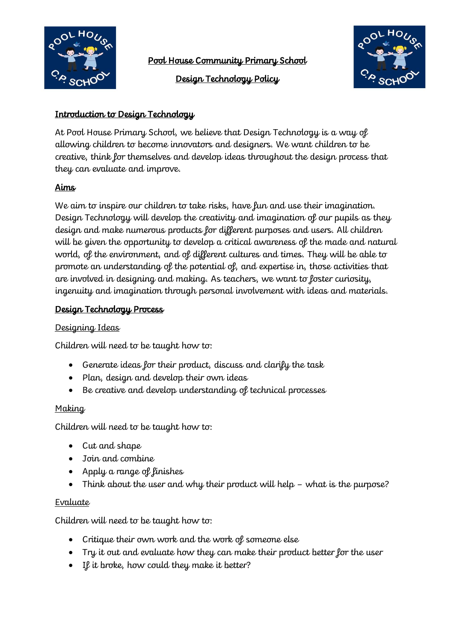

Pool House Community Primary School

Design Technology Policy



## Introduction to Design Technology

At Pool House Primary School, we believe that Design Technology is a way of allowing children to become innovators and designers. We want children to be creative, think for themselves and develop ideas throughout the design process that they can evaluate and improve.

# Aims

We aim to inspire our children to take risks, have fun and use their imagination. Design Technology will develop the creativity and imagination of our pupils as they design and make numerous products for different purposes and users. All children will be given the opportunity to develop a critical awareness of the made and natural world, of the environment, and of different cultures and times. They will be able to promote an understanding of the potential of, and expertise in, those activities that are involved in designing and making. As teachers, we want to foster curiosity, ingenuity and imagination through personal involvement with ideas and materials.

## Design Technology Process

### Designing Ideas

Children will need to be taught how to:

- Generate ideas for their product, discuss and clarify the task
- Plan, design and develop their own ideas
- Be creative and develop understanding of technical processes

#### **Making**

Children will need to be taught how to:

- Cut and shape
- Join and combine
- Apply a range of finishes
- Think about the user and why their product will help what is the purpose?

#### Evaluate

Children will need to be taught how to:

- Critique their own work and the work of someone else
- Try it out and evaluate how they can make their product better for the user
- If it broke, how could they make it better?